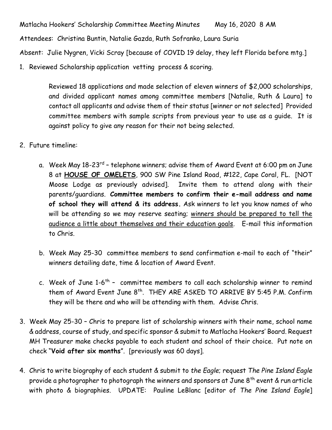Matlacha Hookers' Scholarship Committee Meeting Minutes May 16, 2020 8 AM

Attendees: Christina Buntin, Natalie Gazda, Ruth Sofranko, Laura Suria

Absent: Julie Nygren, Vicki Scray [because of COVID 19 delay, they left Florida before mtg.]

1. Reviewed Scholarship application vetting process & scoring.

Reviewed 18 applications and made selection of eleven winners of \$2,000 scholarships, and divided applicant names among committee members [Natalie, Ruth & Laura] to contact all applicants and advise them of their status [winner or not selected] Provided committee members with sample scripts from previous year to use as a guide. It is against policy to give any reason for their not being selected.

- 2. Future timeline:
	- a.Week May 18-23<sup>rd</sup> telephone winners; advise them of Award Event at 6:00 pm on June 8 at **HOUSE OF OMELETS**, 900 SW Pine Island Road, #122, Cape Coral, FL. [NOT Moose Lodge as previously advised]. Invite them to attend along with their parents/guardians. **Committee members to confirm their e-mail address and name of school they will attend & its address.** Ask winners to let you know names of who will be attending so we may reserve seating; winners should be prepared to tell the audience a little about themselves and their education goals. E-mail this information to Chris.
	- b. Week May 25-30 committee members to send confirmation e-mail to each of "their" winners detailing date, time & location of Award Event.
	- c. Week of June 1-6<sup>th</sup> committee members to call each scholarship winner to remind them of Award Event June 8<sup>th</sup>. THEY ARE ASKED TO ARRIVE BY 5:45 P.M. Confirm they will be there and who will be attending with them. Advise Chris.
- 3. Week May 25-30 Chris to prepare list of scholarship winners with their name, school name & address, course of study, and specific sponsor & submit to Matlacha Hookers' Board. Request MH Treasurer make checks payable to each student and school of their choice. Put note on check "**Void after six months**". [previously was 60 days].
- 4. Chris to write biography of each student & submit to *the Eagle*; request *The Pine Island Eagle* provide a photographer to photograph the winners and sponsors at June  $8^{th}$  event & run article with photo & biographies. UPDATE: Pauline LeBlanc [editor of *The Pine Island Eagle*]